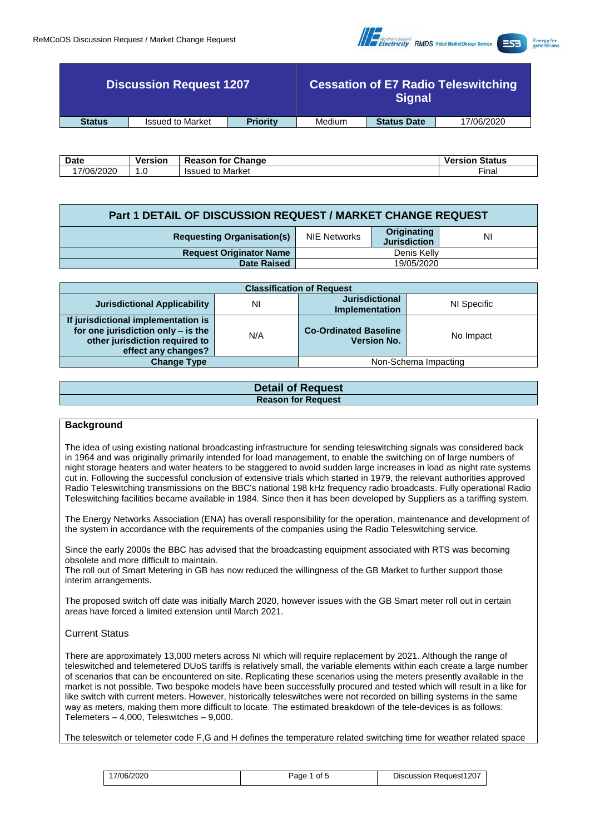

|               | <b>Discussion Request 1207</b> |                 | <b>Cessation of E7 Radio Teleswitching</b><br><b>Signal</b> |                    |            |
|---------------|--------------------------------|-----------------|-------------------------------------------------------------|--------------------|------------|
| <b>Status</b> | <b>Issued to Market</b>        | <b>Priority</b> | Medium                                                      | <b>Status Date</b> | 17/06/2020 |

| <b>Date</b> | <b>Versior</b> | <b>for Change</b><br>keason  | <b>Status</b><br>Versior |
|-------------|----------------|------------------------------|--------------------------|
| 17/06/2020  | . . U          | Market<br><b>Issuec</b><br>к | --<br>`-inai             |

| Part 1 DETAIL OF DISCUSSION REQUEST / MARKET CHANGE REQUEST |              |                                    |    |  |  |
|-------------------------------------------------------------|--------------|------------------------------------|----|--|--|
| <b>Requesting Organisation(s)</b>                           | NIE Networks | Originating<br><b>Jurisdiction</b> | ΝI |  |  |
| <b>Request Originator Name</b>                              | Denis Kelly  |                                    |    |  |  |
| <b>Date Raised</b>                                          | 19/05/2020   |                                    |    |  |  |

| <b>Classification of Request</b>                                                                                                   |     |                                                    |                      |  |  |  |
|------------------------------------------------------------------------------------------------------------------------------------|-----|----------------------------------------------------|----------------------|--|--|--|
| <b>Jurisdictional Applicability</b>                                                                                                | N   | <b>Jurisdictional</b><br><b>Implementation</b>     | NI Specific          |  |  |  |
| If jurisdictional implementation is<br>for one jurisdiction only - is the<br>other jurisdiction required to<br>effect any changes? | N/A | <b>Co-Ordinated Baseline</b><br><b>Version No.</b> | No Impact            |  |  |  |
| <b>Change Type</b>                                                                                                                 |     |                                                    | Non-Schema Impacting |  |  |  |

## **Detail of Request Reason for Request**

## **Background**

The idea of using existing national broadcasting infrastructure for sending teleswitching signals was considered back in 1964 and was originally primarily intended for load management, to enable the switching on of large numbers of night storage heaters and water heaters to be staggered to avoid sudden large increases in load as night rate systems cut in. Following the successful conclusion of extensive trials which started in 1979, the relevant authorities approved Radio Teleswitching transmissions on the BBC's national 198 kHz frequency radio broadcasts. Fully operational Radio Teleswitching facilities became available in 1984. Since then it has been developed by Suppliers as a tariffing system.

The Energy Networks Association (ENA) has overall responsibility for the operation, maintenance and development of the system in accordance with the requirements of the companies using the Radio Teleswitching service.

Since the early 2000s the BBC has advised that the broadcasting equipment associated with RTS was becoming obsolete and more difficult to maintain.

The roll out of Smart Metering in GB has now reduced the willingness of the GB Market to further support those interim arrangements.

The proposed switch off date was initially March 2020, however issues with the GB Smart meter roll out in certain areas have forced a limited extension until March 2021.

## Current Status

There are approximately 13,000 meters across NI which will require replacement by 2021. Although the range of teleswitched and telemetered DUoS tariffs is relatively small, the variable elements within each create a large number of scenarios that can be encountered on site. Replicating these scenarios using the meters presently available in the market is not possible. Two bespoke models have been successfully procured and tested which will result in a like for like switch with current meters. However, historically teleswitches were not recorded on billing systems in the same way as meters, making them more difficult to locate. The estimated breakdown of the tele-devices is as follows: Telemeters – 4,000, Teleswitches – 9,000.

The teleswitch or telemeter code F,G and H defines the temperature related switching time for weather related space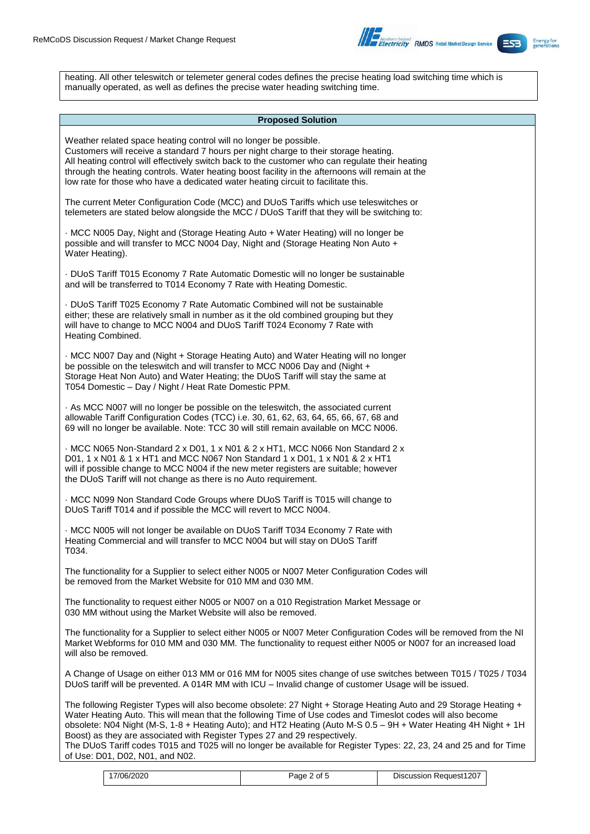

heating. All other teleswitch or telemeter general codes defines the precise heating load switching time which is manually operated, as well as defines the precise water heading switching time.

#### **Proposed Solution**

Weather related space heating control will no longer be possible. Customers will receive a standard 7 hours per night charge to their storage heating. All heating control will effectively switch back to the customer who can regulate their heating through the heating controls. Water heating boost facility in the afternoons will remain at the low rate for those who have a dedicated water heating circuit to facilitate this. The current Meter Configuration Code (MCC) and DUoS Tariffs which use teleswitches or telemeters are stated below alongside the MCC / DUoS Tariff that they will be switching to: · MCC N005 Day, Night and (Storage Heating Auto + Water Heating) will no longer be possible and will transfer to MCC N004 Day, Night and (Storage Heating Non Auto + Water Heating). · DUoS Tariff T015 Economy 7 Rate Automatic Domestic will no longer be sustainable and will be transferred to T014 Economy 7 Rate with Heating Domestic. · DUoS Tariff T025 Economy 7 Rate Automatic Combined will not be sustainable either; these are relatively small in number as it the old combined grouping but they will have to change to MCC N004 and DUoS Tariff T024 Economy 7 Rate with Heating Combined. · MCC N007 Day and (Night + Storage Heating Auto) and Water Heating will no longer be possible on the teleswitch and will transfer to MCC N006 Day and (Night + Storage Heat Non Auto) and Water Heating; the DUoS Tariff will stay the same at T054 Domestic – Day / Night / Heat Rate Domestic PPM. · As MCC N007 will no longer be possible on the teleswitch, the associated current allowable Tariff Configuration Codes (TCC) i.e. 30, 61, 62, 63, 64, 65, 66, 67, 68 and 69 will no longer be available. Note: TCC 30 will still remain available on MCC N006. · MCC N065 Non-Standard 2 x D01, 1 x N01 & 2 x HT1, MCC N066 Non Standard 2 x D01, 1 x N01 & 1 x HT1 and MCC N067 Non Standard 1 x D01, 1 x N01 & 2 x HT1 will if possible change to MCC N004 if the new meter registers are suitable; however the DUoS Tariff will not change as there is no Auto requirement. · MCC N099 Non Standard Code Groups where DUoS Tariff is T015 will change to DUoS Tariff T014 and if possible the MCC will revert to MCC N004. · MCC N005 will not longer be available on DUoS Tariff T034 Economy 7 Rate with Heating Commercial and will transfer to MCC N004 but will stay on DUoS Tariff T034. The functionality for a Supplier to select either N005 or N007 Meter Configuration Codes will be removed from the Market Website for 010 MM and 030 MM. The functionality to request either N005 or N007 on a 010 Registration Market Message or 030 MM without using the Market Website will also be removed. The functionality for a Supplier to select either N005 or N007 Meter Configuration Codes will be removed from the NI Market Webforms for 010 MM and 030 MM. The functionality to request either N005 or N007 for an increased load will also be removed. A Change of Usage on either 013 MM or 016 MM for N005 sites change of use switches between T015 / T025 / T034 DUoS tariff will be prevented. A 014R MM with ICU – Invalid change of customer Usage will be issued. The following Register Types will also become obsolete: 27 Night + Storage Heating Auto and 29 Storage Heating + Water Heating Auto. This will mean that the following Time of Use codes and Timeslot codes will also become obsolete: N04 Night (M-S, 1-8 + Heating Auto); and HT2 Heating (Auto M-S 0.5 – 9H + Water Heating 4H Night + 1H Boost) as they are associated with Register Types 27 and 29 respectively. The DUoS Tariff codes T015 and T025 will no longer be available for Register Types: 22, 23, 24 and 25 and for Time of Use: D01, D02, N01, and N02.

| 7/06/2020 | οt<br>Page.<br>w | Request1207<br>Discussion |
|-----------|------------------|---------------------------|
|-----------|------------------|---------------------------|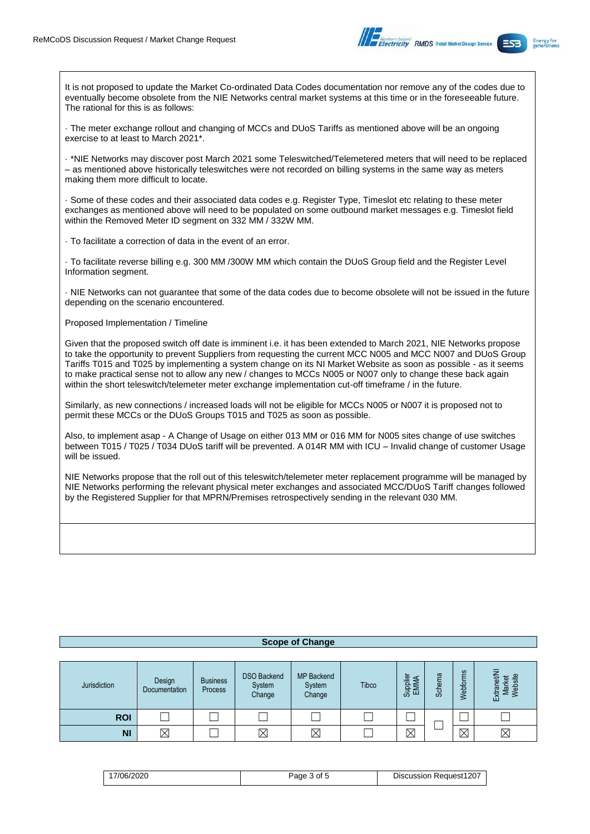

It is not proposed to update the Market Co-ordinated Data Codes documentation nor remove any of the codes due to eventually become obsolete from the NIE Networks central market systems at this time or in the foreseeable future. The rational for this is as follows:

· The meter exchange rollout and changing of MCCs and DUoS Tariffs as mentioned above will be an ongoing exercise to at least to March 2021\*.

· \*NIE Networks may discover post March 2021 some Teleswitched/Telemetered meters that will need to be replaced – as mentioned above historically teleswitches were not recorded on billing systems in the same way as meters making them more difficult to locate.

· Some of these codes and their associated data codes e.g. Register Type, Timeslot etc relating to these meter exchanges as mentioned above will need to be populated on some outbound market messages e.g. Timeslot field within the Removed Meter ID segment on 332 MM / 332W MM.

· To facilitate a correction of data in the event of an error.

· To facilitate reverse billing e.g. 300 MM /300W MM which contain the DUoS Group field and the Register Level Information segment.

· NIE Networks can not guarantee that some of the data codes due to become obsolete will not be issued in the future depending on the scenario encountered.

### Proposed Implementation / Timeline

Given that the proposed switch off date is imminent i.e. it has been extended to March 2021, NIE Networks propose to take the opportunity to prevent Suppliers from requesting the current MCC N005 and MCC N007 and DUoS Group Tariffs T015 and T025 by implementing a system change on its NI Market Website as soon as possible - as it seems to make practical sense not to allow any new / changes to MCCs N005 or N007 only to change these back again within the short teleswitch/telemeter meter exchange implementation cut-off timeframe / in the future.

Similarly, as new connections / increased loads will not be eligible for MCCs N005 or N007 it is proposed not to permit these MCCs or the DUoS Groups T015 and T025 as soon as possible.

Also, to implement asap - A Change of Usage on either 013 MM or 016 MM for N005 sites change of use switches between T015 / T025 / T034 DUoS tariff will be prevented. A 014R MM with ICU – Invalid change of customer Usage will be issued.

NIE Networks propose that the roll out of this teleswitch/telemeter meter replacement programme will be managed by NIE Networks performing the relevant physical meter exchanges and associated MCC/DUoS Tariff changes followed by the Registered Supplier for that MPRN/Premises retrospectively sending in the relevant 030 MM.

| <b>Scope of Change</b> |                         |                            |                                        |                                       |       |                  |        |             |                                  |
|------------------------|-------------------------|----------------------------|----------------------------------------|---------------------------------------|-------|------------------|--------|-------------|----------------------------------|
|                        |                         |                            |                                        |                                       |       |                  |        |             |                                  |
| Jurisdiction           | Design<br>Documentation | <b>Business</b><br>Process | <b>DSO Backend</b><br>System<br>Change | <b>MP Backend</b><br>System<br>Change | Tibco | Supplier<br>EMMA | Schema | Webforms    | Market<br>Website<br>긂<br>Extrar |
| <b>ROI</b>             |                         |                            |                                        |                                       |       |                  |        |             |                                  |
| <b>NI</b>              | $\boxtimes$             |                            | $\boxtimes$                            | $\boxtimes$                           |       | $\boxtimes$      |        | $\boxtimes$ | $\boxtimes$                      |

| 17/06/2020 | Page 3 of 5 | <b>Discussion Request1207</b> |
|------------|-------------|-------------------------------|
|------------|-------------|-------------------------------|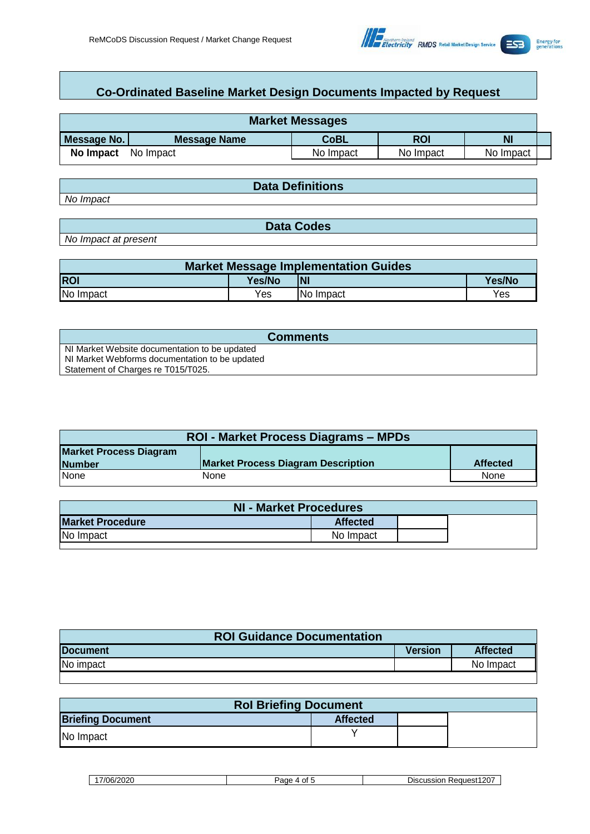

# **Co-Ordinated Baseline Market Design Documents Impacted by Request**

| <b>Market Messages</b> |                     |             |           |           |  |  |
|------------------------|---------------------|-------------|-----------|-----------|--|--|
| Message No.            | <b>Message Name</b> | <b>CoBL</b> | ROI       | <b>N</b>  |  |  |
| No Impact              | No Impact           | No Impact   | No Impact | No Impact |  |  |

*No Impact*

**Data Definitions**

*No Impact at present*

| <b>Market Message Implementation Guides</b> |        |           |        |  |  |  |  |
|---------------------------------------------|--------|-----------|--------|--|--|--|--|
| <b>ROI</b>                                  | Yes/No | <b>NI</b> | Yes/No |  |  |  |  |
| No Impact<br>Yes<br>Yes<br>No Impact        |        |           |        |  |  |  |  |

**Data Codes**

| <b>Comments</b>                                |
|------------------------------------------------|
| NI Market Website documentation to be updated  |
| NI Market Webforms documentation to be updated |
| Statement of Charges re T015/T025.             |

| <b>ROI - Market Process Diagrams – MPDs</b> |                                           |                 |  |  |  |  |
|---------------------------------------------|-------------------------------------------|-----------------|--|--|--|--|
| <b>Market Process Diagram</b>               |                                           |                 |  |  |  |  |
| <b>Number</b>                               | <b>Market Process Diagram Description</b> | <b>Affected</b> |  |  |  |  |
| <b>None</b>                                 | None                                      | None            |  |  |  |  |

| NI - Market Procedures  |                 |  |  |
|-------------------------|-----------------|--|--|
| <b>Market Procedure</b> | <b>Affected</b> |  |  |
| No Impact               | No Impact       |  |  |

| <b>ROI Guidance Documentation</b> |         |                 |  |
|-----------------------------------|---------|-----------------|--|
| <b>IDocument</b>                  | Version | <b>Affected</b> |  |
| No impact                         |         | No Impact       |  |

| <b>Rol Briefing Document</b> |                 |  |  |
|------------------------------|-----------------|--|--|
| <b>Briefing Document</b>     | <b>Affected</b> |  |  |
| No Impact                    |                 |  |  |

17/06/2020 Page 4 of 5 Discussion Request1207